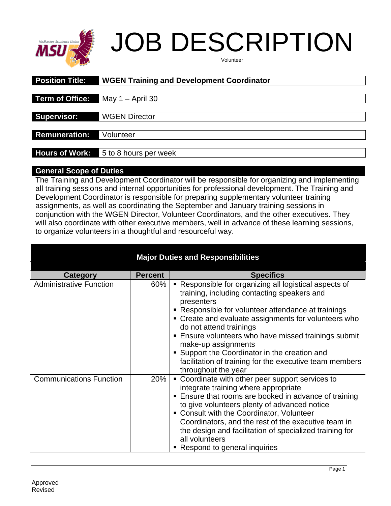

# JOB DESCRIPTION

| Volunteer |  |
|-----------|--|
|-----------|--|

| <b>Position Title:</b> | <b>WGEN Training and Development Coordinator</b> |
|------------------------|--------------------------------------------------|
|                        |                                                  |
| Term of Office:        | May $1 -$ April 30                               |
|                        |                                                  |
| <b>Supervisor:</b>     | <b>WGEN Director</b>                             |
|                        |                                                  |
| <b>Remuneration:</b>   | Volunteer                                        |
|                        |                                                  |
| <b>Hours of Work:</b>  | 5 to 8 hours per week                            |

### **General Scope of Duties**

The Training and Development Coordinator will be responsible for organizing and implementing all training sessions and internal opportunities for professional development. The Training and Development Coordinator is responsible for preparing supplementary volunteer training assignments, as well as coordinating the September and January training sessions in conjunction with the WGEN Director, Volunteer Coordinators, and the other executives. They will also coordinate with other executive members, well in advance of these learning sessions, to organize volunteers in a thoughtful and resourceful way.

| <b>Major Duties and Responsibilities</b> |                |                                                                                                                                                                                                                                                                                                                                                                                                                                                                                      |  |
|------------------------------------------|----------------|--------------------------------------------------------------------------------------------------------------------------------------------------------------------------------------------------------------------------------------------------------------------------------------------------------------------------------------------------------------------------------------------------------------------------------------------------------------------------------------|--|
| <b>Category</b>                          | <b>Percent</b> | <b>Specifics</b>                                                                                                                                                                                                                                                                                                                                                                                                                                                                     |  |
| <b>Administrative Function</b>           | 60%            | • Responsible for organizing all logistical aspects of<br>training, including contacting speakers and<br>presenters<br>• Responsible for volunteer attendance at trainings<br>• Create and evaluate assignments for volunteers who<br>do not attend trainings<br><b>Ensure volunteers who have missed trainings submit</b><br>make-up assignments<br>• Support the Coordinator in the creation and<br>facilitation of training for the executive team members<br>throughout the year |  |
| <b>Communications Function</b>           | 20%            | • Coordinate with other peer support services to<br>integrate training where appropriate<br><b>Ensure that rooms are booked in advance of training</b><br>to give volunteers plenty of advanced notice<br>• Consult with the Coordinator, Volunteer<br>Coordinators, and the rest of the executive team in<br>the design and facilitation of specialized training for<br>all volunteers<br>• Respond to general inquiries                                                            |  |